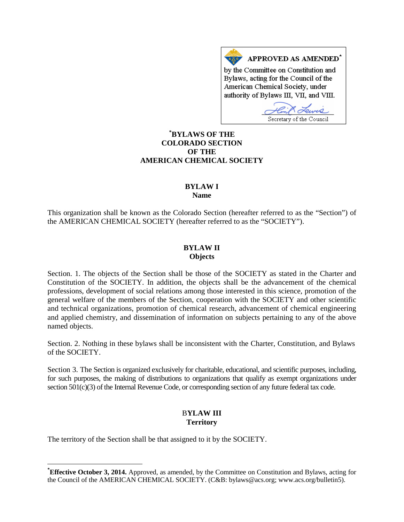APPROVED AS AMENDED<sup>\*</sup> by the Committee on Constitution and Bylaws, acting for the Council of the American Chemical Society, under authority of Bylaws III, VII, and VIII.

Secretary of the Council

# **[\\*](#page-0-0) BYLAWS OF THE COLORADO SECTION OF THE AMERICAN CHEMICAL SOCIETY**

### **BYLAW I Name**

This organization shall be known as the Colorado Section (hereafter referred to as the "Section") of the AMERICAN CHEMICAL SOCIETY (hereafter referred to as the "SOCIETY").

## **BYLAW II Objects**

Section. 1. The objects of the Section shall be those of the SOCIETY as stated in the Charter and Constitution of the SOCIETY. In addition, the objects shall be the advancement of the chemical professions, development of social relations among those interested in this science, promotion of the general welfare of the members of the Section, cooperation with the SOCIETY and other scientific and technical organizations, promotion of chemical research, advancement of chemical engineering and applied chemistry, and dissemination of information on subjects pertaining to any of the above named objects.

Section. 2. Nothing in these bylaws shall be inconsistent with the Charter, Constitution, and Bylaws of the SOCIETY.

Section 3. The Section is organized exclusively for charitable, educational, and scientific purposes, including, for such purposes, the making of distributions to organizations that qualify as exempt organizations under section 501(c)(3) of the Internal Revenue Code, or corresponding section of any future federal tax code.

## B**YLAW III Territory**

The territory of the Section shall be that assigned to it by the SOCIETY.

<span id="page-0-0"></span>**\* Effective October 3, 2014.** Approved, as amended, by the Committee on Constitution and Bylaws, acting for the Council of the AMERICAN CHEMICAL SOCIETY. (C&B: bylaws@acs.org; www.acs.org/bulletin5).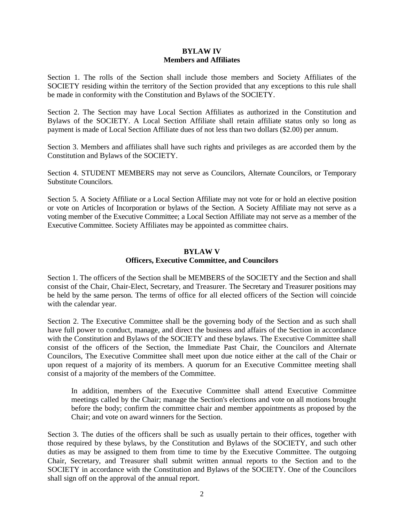#### **BYLAW IV Members and Affiliates**

Section 1. The rolls of the Section shall include those members and Society Affiliates of the SOCIETY residing within the territory of the Section provided that any exceptions to this rule shall be made in conformity with the Constitution and Bylaws of the SOCIETY.

Section 2. The Section may have Local Section Affiliates as authorized in the Constitution and Bylaws of the SOCIETY. A Local Section Affiliate shall retain affiliate status only so long as payment is made of Local Section Affiliate dues of not less than two dollars (\$2.00) per annum.

Section 3. Members and affiliates shall have such rights and privileges as are accorded them by the Constitution and Bylaws of the SOCIETY.

Section 4. STUDENT MEMBERS may not serve as Councilors, Alternate Councilors, or Temporary Substitute Councilors.

Section 5. A Society Affiliate or a Local Section Affiliate may not vote for or hold an elective position or vote on Articles of Incorporation or bylaws of the Section. A Society Affiliate may not serve as a voting member of the Executive Committee; a Local Section Affiliate may not serve as a member of the Executive Committee. Society Affiliates may be appointed as committee chairs.

# **BYLAW V Officers, Executive Committee, and Councilors**

Section 1. The officers of the Section shall be MEMBERS of the SOCIETY and the Section and shall consist of the Chair, Chair-Elect, Secretary, and Treasurer. The Secretary and Treasurer positions may be held by the same person. The terms of office for all elected officers of the Section will coincide with the calendar year.

Section 2. The Executive Committee shall be the governing body of the Section and as such shall have full power to conduct, manage, and direct the business and affairs of the Section in accordance with the Constitution and Bylaws of the SOCIETY and these bylaws. The Executive Committee shall consist of the officers of the Section, the Immediate Past Chair, the Councilors and Alternate Councilors, The Executive Committee shall meet upon due notice either at the call of the Chair or upon request of a majority of its members. A quorum for an Executive Committee meeting shall consist of a majority of the members of the Committee.

In addition, members of the Executive Committee shall attend Executive Committee meetings called by the Chair; manage the Section's elections and vote on all motions brought before the body; confirm the committee chair and member appointments as proposed by the Chair; and vote on award winners for the Section.

Section 3. The duties of the officers shall be such as usually pertain to their offices, together with those required by these bylaws, by the Constitution and Bylaws of the SOCIETY, and such other duties as may be assigned to them from time to time by the Executive Committee. The outgoing Chair, Secretary, and Treasurer shall submit written annual reports to the Section and to the SOCIETY in accordance with the Constitution and Bylaws of the SOCIETY. One of the Councilors shall sign off on the approval of the annual report.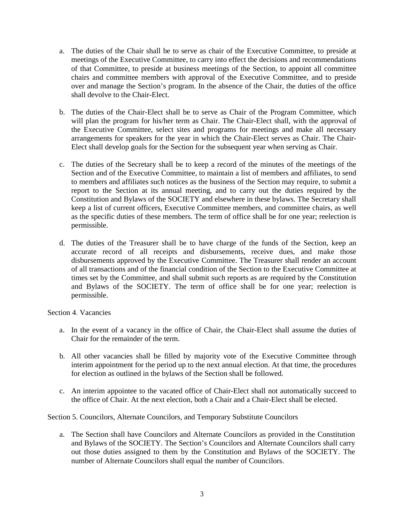- a. The duties of the Chair shall be to serve as chair of the Executive Committee, to preside at meetings of the Executive Committee, to carry into effect the decisions and recommendations of that Committee, to preside at business meetings of the Section, to appoint all committee chairs and committee members with approval of the Executive Committee, and to preside over and manage the Section's program. In the absence of the Chair, the duties of the office shall devolve to the Chair-Elect.
- b. The duties of the Chair-Elect shall be to serve as Chair of the Program Committee, which will plan the program for his/her term as Chair. The Chair-Elect shall, with the approval of the Executive Committee, select sites and programs for meetings and make all necessary arrangements for speakers for the year in which the Chair-Elect serves as Chair. The Chair-Elect shall develop goals for the Section for the subsequent year when serving as Chair.
- c. The duties of the Secretary shall be to keep a record of the minutes of the meetings of the Section and of the Executive Committee, to maintain a list of members and affiliates, to send to members and affiliates such notices as the business of the Section may require, to submit a report to the Section at its annual meeting, and to carry out the duties required by the Constitution and Bylaws of the SOCIETY and elsewhere in these bylaws. The Secretary shall keep a list of current officers, Executive Committee members, and committee chairs, as well as the specific duties of these members. The term of office shall be for one year; reelection is permissible.
- d. The duties of the Treasurer shall be to have charge of the funds of the Section, keep an accurate record of all receipts and disbursements, receive dues, and make those disbursements approved by the Executive Committee. The Treasurer shall render an account of all transactions and of the financial condition of the Section to the Executive Committee at times set by the Committee, and shall submit such reports as are required by the Constitution and Bylaws of the SOCIETY. The term of office shall be for one year; reelection is permissible.

#### Section 4. Vacancies

- a. In the event of a vacancy in the office of Chair, the Chair-Elect shall assume the duties of Chair for the remainder of the term.
- b. All other vacancies shall be filled by majority vote of the Executive Committee through interim appointment for the period up to the next annual election. At that time, the procedures for election as outlined in the bylaws of the Section shall be followed.
- c. An interim appointee to the vacated office of Chair-Elect shall not automatically succeed to the office of Chair. At the next election, both a Chair and a Chair-Elect shall be elected.

Section 5. Councilors, Alternate Councilors, and Temporary Substitute Councilors

a. The Section shall have Councilors and Alternate Councilors as provided in the Constitution and Bylaws of the SOCIETY. The Section's Councilors and Alternate Councilors shall carry out those duties assigned to them by the Constitution and Bylaws of the SOCIETY. The number of Alternate Councilors shall equal the number of Councilors.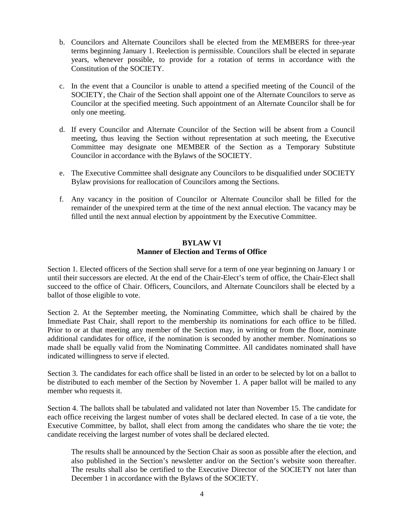- b. Councilors and Alternate Councilors shall be elected from the MEMBERS for three-year terms beginning January 1. Reelection is permissible. Councilors shall be elected in separate years, whenever possible, to provide for a rotation of terms in accordance with the Constitution of the SOCIETY.
- c. In the event that a Councilor is unable to attend a specified meeting of the Council of the SOCIETY, the Chair of the Section shall appoint one of the Alternate Councilors to serve as Councilor at the specified meeting. Such appointment of an Alternate Councilor shall be for only one meeting.
- d. If every Councilor and Alternate Councilor of the Section will be absent from a Council meeting, thus leaving the Section without representation at such meeting, the Executive Committee may designate one MEMBER of the Section as a Temporary Substitute Councilor in accordance with the Bylaws of the SOCIETY.
- e. The Executive Committee shall designate any Councilors to be disqualified under SOCIETY Bylaw provisions for reallocation of Councilors among the Sections.
- f. Any vacancy in the position of Councilor or Alternate Councilor shall be filled for the remainder of the unexpired term at the time of the next annual election. The vacancy may be filled until the next annual election by appointment by the Executive Committee.

#### **BYLAW VI Manner of Election and Terms of Office**

Section 1. Elected officers of the Section shall serve for a term of one year beginning on January 1 or until their successors are elected. At the end of the Chair-Elect's term of office, the Chair-Elect shall succeed to the office of Chair. Officers, Councilors, and Alternate Councilors shall be elected by a ballot of those eligible to vote.

Section 2. At the September meeting, the Nominating Committee, which shall be chaired by the Immediate Past Chair, shall report to the membership its nominations for each office to be filled. Prior to or at that meeting any member of the Section may, in writing or from the floor, nominate additional candidates for office, if the nomination is seconded by another member. Nominations so made shall be equally valid from the Nominating Committee. All candidates nominated shall have indicated willingness to serve if elected.

Section 3. The candidates for each office shall be listed in an order to be selected by lot on a ballot to be distributed to each member of the Section by November 1. A paper ballot will be mailed to any member who requests it.

Section 4. The ballots shall be tabulated and validated not later than November 15. The candidate for each office receiving the largest number of votes shall be declared elected. In case of a tie vote, the Executive Committee, by ballot, shall elect from among the candidates who share the tie vote; the candidate receiving the largest number of votes shall be declared elected.

The results shall be announced by the Section Chair as soon as possible after the election, and also published in the Section's newsletter and/or on the Section's website soon thereafter. The results shall also be certified to the Executive Director of the SOCIETY not later than December 1 in accordance with the Bylaws of the SOCIETY.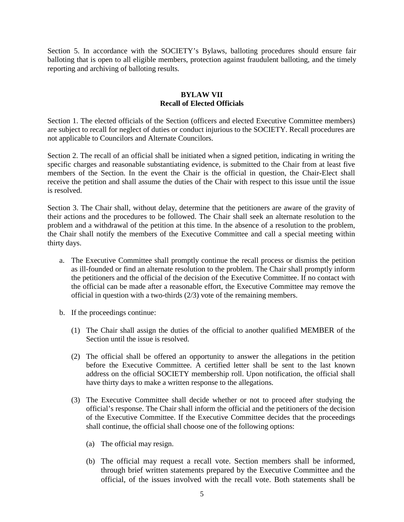Section 5. In accordance with the SOCIETY's Bylaws, balloting procedures should ensure fair balloting that is open to all eligible members, protection against fraudulent balloting, and the timely reporting and archiving of balloting results.

## **BYLAW VII Recall of Elected Officials**

Section 1. The elected officials of the Section (officers and elected Executive Committee members) are subject to recall for neglect of duties or conduct injurious to the SOCIETY. Recall procedures are not applicable to Councilors and Alternate Councilors.

Section 2. The recall of an official shall be initiated when a signed petition, indicating in writing the specific charges and reasonable substantiating evidence, is submitted to the Chair from at least five members of the Section. In the event the Chair is the official in question, the Chair-Elect shall receive the petition and shall assume the duties of the Chair with respect to this issue until the issue is resolved.

Section 3. The Chair shall, without delay, determine that the petitioners are aware of the gravity of their actions and the procedures to be followed. The Chair shall seek an alternate resolution to the problem and a withdrawal of the petition at this time. In the absence of a resolution to the problem, the Chair shall notify the members of the Executive Committee and call a special meeting within thirty days.

- a. The Executive Committee shall promptly continue the recall process or dismiss the petition as ill-founded or find an alternate resolution to the problem. The Chair shall promptly inform the petitioners and the official of the decision of the Executive Committee. If no contact with the official can be made after a reasonable effort, the Executive Committee may remove the official in question with a two-thirds (2/3) vote of the remaining members.
- b. If the proceedings continue:
	- (1) The Chair shall assign the duties of the official to another qualified MEMBER of the Section until the issue is resolved.
	- (2) The official shall be offered an opportunity to answer the allegations in the petition before the Executive Committee. A certified letter shall be sent to the last known address on the official SOCIETY membership roll. Upon notification, the official shall have thirty days to make a written response to the allegations.
	- (3) The Executive Committee shall decide whether or not to proceed after studying the official's response. The Chair shall inform the official and the petitioners of the decision of the Executive Committee. If the Executive Committee decides that the proceedings shall continue, the official shall choose one of the following options:
		- (a) The official may resign.
		- (b) The official may request a recall vote. Section members shall be informed, through brief written statements prepared by the Executive Committee and the official, of the issues involved with the recall vote. Both statements shall be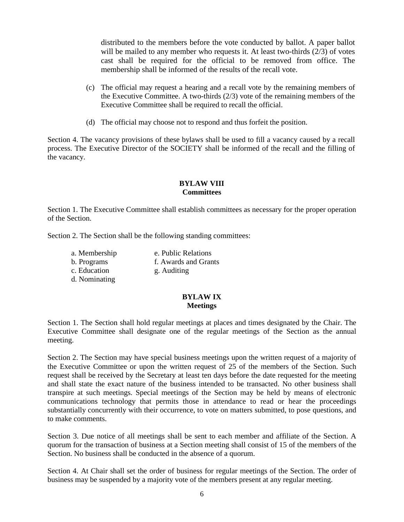distributed to the members before the vote conducted by ballot. A paper ballot will be mailed to any member who requests it. At least two-thirds (2/3) of votes cast shall be required for the official to be removed from office. The membership shall be informed of the results of the recall vote.

- (c) The official may request a hearing and a recall vote by the remaining members of the Executive Committee. A two-thirds (2/3) vote of the remaining members of the Executive Committee shall be required to recall the official.
- (d) The official may choose not to respond and thus forfeit the position.

Section 4. The vacancy provisions of these bylaws shall be used to fill a vacancy caused by a recall process. The Executive Director of the SOCIETY shall be informed of the recall and the filling of the vacancy.

## **BYLAW VIII Committees**

Section 1. The Executive Committee shall establish committees as necessary for the proper operation of the Section.

Section 2. The Section shall be the following standing committees:

a. Membership b. Programs c. Education d. Nominating e. Public Relations f. Awards and Grants g. Auditing

#### **BYLAW IX Meetings**

Section 1. The Section shall hold regular meetings at places and times designated by the Chair. The Executive Committee shall designate one of the regular meetings of the Section as the annual meeting.

Section 2. The Section may have special business meetings upon the written request of a majority of the Executive Committee or upon the written request of 25 of the members of the Section. Such request shall be received by the Secretary at least ten days before the date requested for the meeting and shall state the exact nature of the business intended to be transacted. No other business shall transpire at such meetings. Special meetings of the Section may be held by means of electronic communications technology that permits those in attendance to read or hear the proceedings substantially concurrently with their occurrence, to vote on matters submitted, to pose questions, and to make comments.

Section 3. Due notice of all meetings shall be sent to each member and affiliate of the Section. A quorum for the transaction of business at a Section meeting shall consist of 15 of the members of the Section. No business shall be conducted in the absence of a quorum.

Section 4. At Chair shall set the order of business for regular meetings of the Section. The order of business may be suspended by a majority vote of the members present at any regular meeting.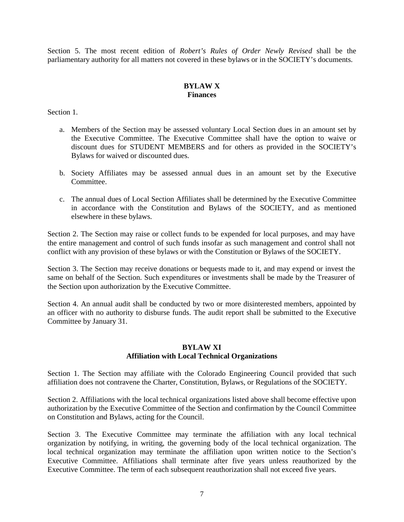Section 5. The most recent edition of *Robert's Rules of Order Newly Revised* shall be the parliamentary authority for all matters not covered in these bylaws or in the SOCIETY's documents.

## **BYLAW X Finances**

Section 1.

- a. Members of the Section may be assessed voluntary Local Section dues in an amount set by the Executive Committee. The Executive Committee shall have the option to waive or discount dues for STUDENT MEMBERS and for others as provided in the SOCIETY's Bylaws for waived or discounted dues.
- b. Society Affiliates may be assessed annual dues in an amount set by the Executive Committee.
- c. The annual dues of Local Section Affiliates shall be determined by the Executive Committee in accordance with the Constitution and Bylaws of the SOCIETY, and as mentioned elsewhere in these bylaws.

Section 2. The Section may raise or collect funds to be expended for local purposes, and may have the entire management and control of such funds insofar as such management and control shall not conflict with any provision of these bylaws or with the Constitution or Bylaws of the SOCIETY.

Section 3. The Section may receive donations or bequests made to it, and may expend or invest the same on behalf of the Section. Such expenditures or investments shall be made by the Treasurer of the Section upon authorization by the Executive Committee.

Section 4. An annual audit shall be conducted by two or more disinterested members, appointed by an officer with no authority to disburse funds. The audit report shall be submitted to the Executive Committee by January 31.

### **BYLAW XI Affiliation with Local Technical Organizations**

Section 1. The Section may affiliate with the Colorado Engineering Council provided that such affiliation does not contravene the Charter, Constitution, Bylaws, or Regulations of the SOCIETY.

Section 2. Affiliations with the local technical organizations listed above shall become effective upon authorization by the Executive Committee of the Section and confirmation by the Council Committee on Constitution and Bylaws, acting for the Council.

Section 3. The Executive Committee may terminate the affiliation with any local technical organization by notifying, in writing, the governing body of the local technical organization. The local technical organization may terminate the affiliation upon written notice to the Section's Executive Committee. Affiliations shall terminate after five years unless reauthorized by the Executive Committee. The term of each subsequent reauthorization shall not exceed five years.